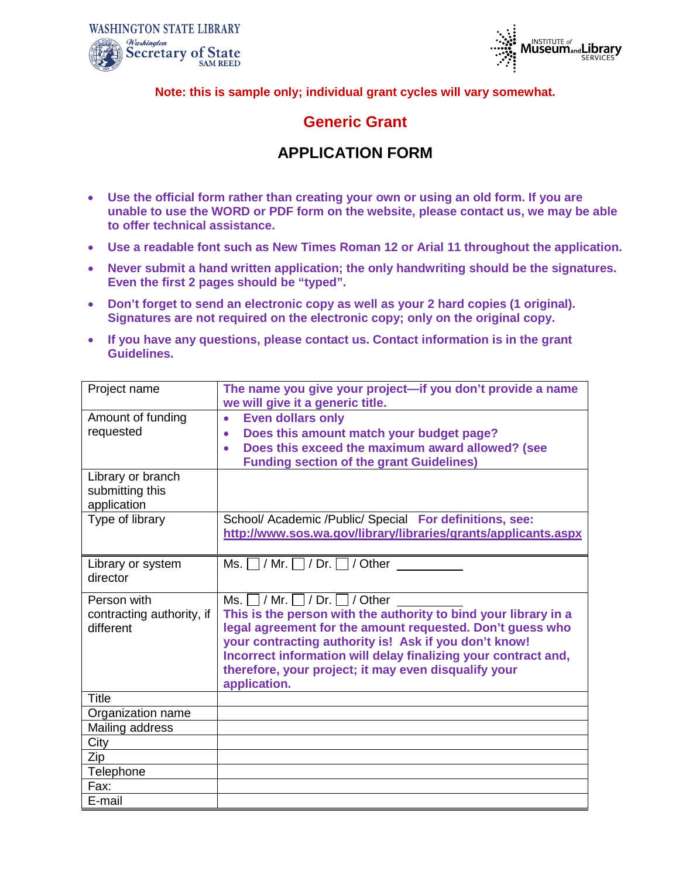



**Note: this is sample only; individual grant cycles will vary somewhat.**

### **Generic Grant**

### **APPLICATION FORM**

- **Use the official form rather than creating your own or using an old form. If you are unable to use the WORD or PDF form on the website, please contact us, we may be able to offer technical assistance.**
- **Use a readable font such as New Times Roman 12 or Arial 11 throughout the application.**
- **Never submit a hand written application; the only handwriting should be the signatures. Even the first 2 pages should be "typed".**
- **Don't forget to send an electronic copy as well as your 2 hard copies (1 original). Signatures are not required on the electronic copy; only on the original copy.**
- **If you have any questions, please contact us. Contact information is in the grant Guidelines.**

| Project name              | The name you give your project-if you don't provide a name                                                                |  |  |
|---------------------------|---------------------------------------------------------------------------------------------------------------------------|--|--|
|                           | we will give it a generic title.                                                                                          |  |  |
| Amount of funding         | <b>Even dollars only</b><br>$\bullet$                                                                                     |  |  |
| requested                 | Does this amount match your budget page?<br>$\bullet$                                                                     |  |  |
|                           | Does this exceed the maximum award allowed? (see                                                                          |  |  |
|                           | <b>Funding section of the grant Guidelines)</b>                                                                           |  |  |
| Library or branch         |                                                                                                                           |  |  |
| submitting this           |                                                                                                                           |  |  |
| application               |                                                                                                                           |  |  |
| Type of library           | School/ Academic /Public/ Special For definitions, see:<br>http://www.sos.wa.gov/library/libraries/grants/applicants.aspx |  |  |
|                           |                                                                                                                           |  |  |
| Library or system         | Ms. $\Box$ / Mr. $\Box$ / Dr. $\Box$ / Other                                                                              |  |  |
| director                  |                                                                                                                           |  |  |
|                           |                                                                                                                           |  |  |
| Person with               | Ms. $\Box$ / Mr. $\Box$ / Dr. $\Box$ / Other                                                                              |  |  |
| contracting authority, if | This is the person with the authority to bind your library in a                                                           |  |  |
| different                 | legal agreement for the amount requested. Don't guess who                                                                 |  |  |
|                           | your contracting authority is! Ask if you don't know!                                                                     |  |  |
|                           | Incorrect information will delay finalizing your contract and,<br>therefore, your project; it may even disqualify your    |  |  |
|                           | application.                                                                                                              |  |  |
| <b>Title</b>              |                                                                                                                           |  |  |
| Organization name         |                                                                                                                           |  |  |
| Mailing address           |                                                                                                                           |  |  |
| City                      |                                                                                                                           |  |  |
| Zip                       |                                                                                                                           |  |  |
| Telephone                 |                                                                                                                           |  |  |
| Fax:                      |                                                                                                                           |  |  |
| E-mail                    |                                                                                                                           |  |  |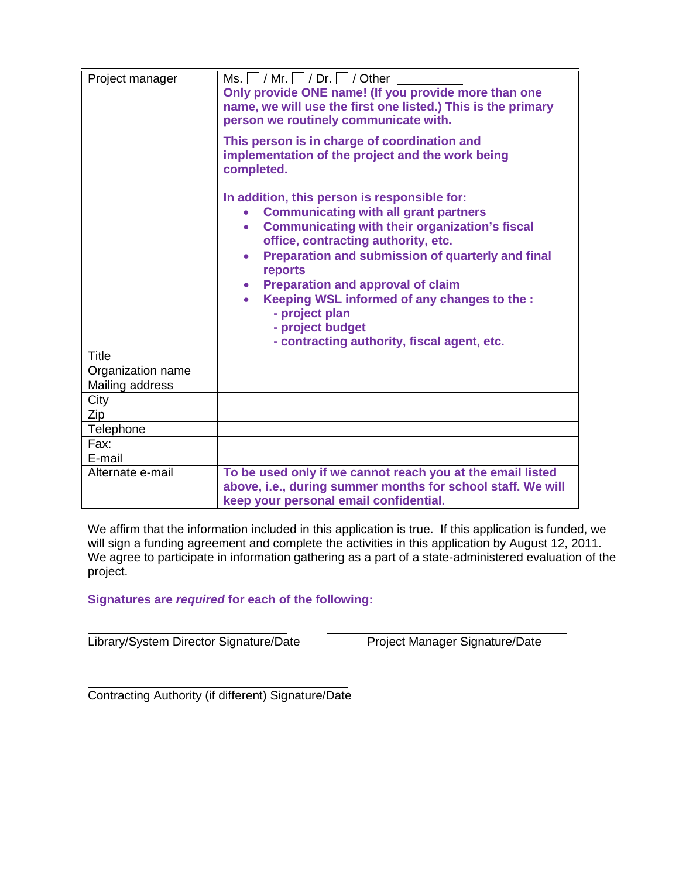| Project manager                                                                | Ms. $\Box$ / Mr. $\Box$ / Dr. $\Box$ / Other<br>Only provide ONE name! (If you provide more than one<br>name, we will use the first one listed.) This is the primary<br>person we routinely communicate with.                                                                                                                                                                                                                                                                                     |
|--------------------------------------------------------------------------------|---------------------------------------------------------------------------------------------------------------------------------------------------------------------------------------------------------------------------------------------------------------------------------------------------------------------------------------------------------------------------------------------------------------------------------------------------------------------------------------------------|
|                                                                                | This person is in charge of coordination and<br>implementation of the project and the work being<br>completed.                                                                                                                                                                                                                                                                                                                                                                                    |
|                                                                                | In addition, this person is responsible for:<br><b>Communicating with all grant partners</b><br>$\bullet$<br><b>Communicating with their organization's fiscal</b><br>$\bullet$<br>office, contracting authority, etc.<br>Preparation and submission of quarterly and final<br>$\bullet$<br>reports<br><b>Preparation and approval of claim</b><br>$\bullet$<br>Keeping WSL informed of any changes to the :<br>- project plan<br>- project budget<br>- contracting authority, fiscal agent, etc. |
| <b>Title</b>                                                                   |                                                                                                                                                                                                                                                                                                                                                                                                                                                                                                   |
| Organization name                                                              |                                                                                                                                                                                                                                                                                                                                                                                                                                                                                                   |
| Mailing address                                                                |                                                                                                                                                                                                                                                                                                                                                                                                                                                                                                   |
| City                                                                           |                                                                                                                                                                                                                                                                                                                                                                                                                                                                                                   |
| Zip                                                                            |                                                                                                                                                                                                                                                                                                                                                                                                                                                                                                   |
| Telephone                                                                      |                                                                                                                                                                                                                                                                                                                                                                                                                                                                                                   |
| Fax:                                                                           |                                                                                                                                                                                                                                                                                                                                                                                                                                                                                                   |
| E-mail                                                                         |                                                                                                                                                                                                                                                                                                                                                                                                                                                                                                   |
| To be used only if we cannot reach you at the email listed<br>Alternate e-mail |                                                                                                                                                                                                                                                                                                                                                                                                                                                                                                   |
|                                                                                | above, i.e., during summer months for school staff. We will                                                                                                                                                                                                                                                                                                                                                                                                                                       |
|                                                                                | keep your personal email confidential.                                                                                                                                                                                                                                                                                                                                                                                                                                                            |

We affirm that the information included in this application is true. If this application is funded, we will sign a funding agreement and complete the activities in this application by August 12, 2011. We agree to participate in information gathering as a part of a state-administered evaluation of the project.

### **Signatures are** *required* **for each of the following:**

Library/System Director Signature/Date Project Manager Signature/Date

 $\overline{\phantom{a}}$ Contracting Authority (if different) Signature/Date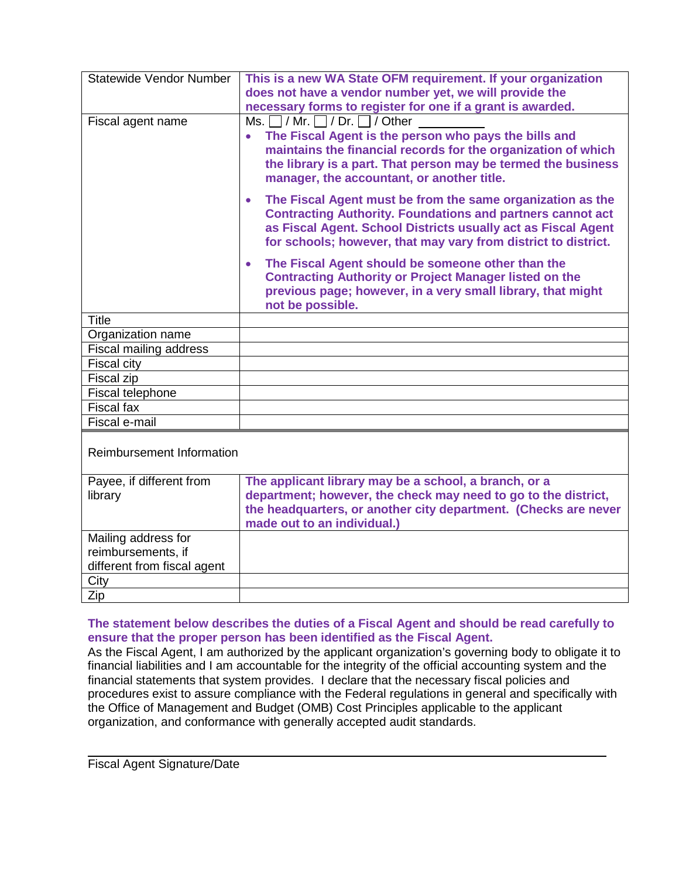| <b>Statewide Vendor Number</b>                                           | This is a new WA State OFM requirement. If your organization<br>does not have a vendor number yet, we will provide the<br>necessary forms to register for one if a grant is awarded.                                                                                                               |
|--------------------------------------------------------------------------|----------------------------------------------------------------------------------------------------------------------------------------------------------------------------------------------------------------------------------------------------------------------------------------------------|
| Fiscal agent name                                                        | Ms. $\Box$ / Mr. $\Box$ / Dr. $\Box$ / Other<br>The Fiscal Agent is the person who pays the bills and<br>$\bullet$<br>maintains the financial records for the organization of which<br>the library is a part. That person may be termed the business<br>manager, the accountant, or another title. |
|                                                                          | The Fiscal Agent must be from the same organization as the<br>$\bullet$<br><b>Contracting Authority. Foundations and partners cannot act</b><br>as Fiscal Agent. School Districts usually act as Fiscal Agent<br>for schools; however, that may vary from district to district.                    |
|                                                                          | The Fiscal Agent should be someone other than the<br>$\bullet$<br><b>Contracting Authority or Project Manager listed on the</b><br>previous page; however, in a very small library, that might<br>not be possible.                                                                                 |
| <b>Title</b>                                                             |                                                                                                                                                                                                                                                                                                    |
| Organization name                                                        |                                                                                                                                                                                                                                                                                                    |
| <b>Fiscal mailing address</b>                                            |                                                                                                                                                                                                                                                                                                    |
| Fiscal city                                                              |                                                                                                                                                                                                                                                                                                    |
| Fiscal zip                                                               |                                                                                                                                                                                                                                                                                                    |
| <b>Fiscal telephone</b>                                                  |                                                                                                                                                                                                                                                                                                    |
| <b>Fiscal fax</b>                                                        |                                                                                                                                                                                                                                                                                                    |
| Fiscal e-mail                                                            |                                                                                                                                                                                                                                                                                                    |
| Reimbursement Information                                                |                                                                                                                                                                                                                                                                                                    |
| Payee, if different from<br>library                                      | The applicant library may be a school, a branch, or a<br>department; however, the check may need to go to the district,<br>the headquarters, or another city department. (Checks are never<br>made out to an individual.)                                                                          |
| Mailing address for<br>reimbursements, if<br>different from fiscal agent |                                                                                                                                                                                                                                                                                                    |
| City                                                                     |                                                                                                                                                                                                                                                                                                    |
| Zip                                                                      |                                                                                                                                                                                                                                                                                                    |

#### **The statement below describes the duties of a Fiscal Agent and should be read carefully to ensure that the proper person has been identified as the Fiscal Agent.**

As the Fiscal Agent, I am authorized by the applicant organization's governing body to obligate it to financial liabilities and I am accountable for the integrity of the official accounting system and the financial statements that system provides. I declare that the necessary fiscal policies and procedures exist to assure compliance with the Federal regulations in general and specifically with the Office of Management and Budget (OMB) Cost Principles applicable to the applicant organization, and conformance with generally accepted audit standards.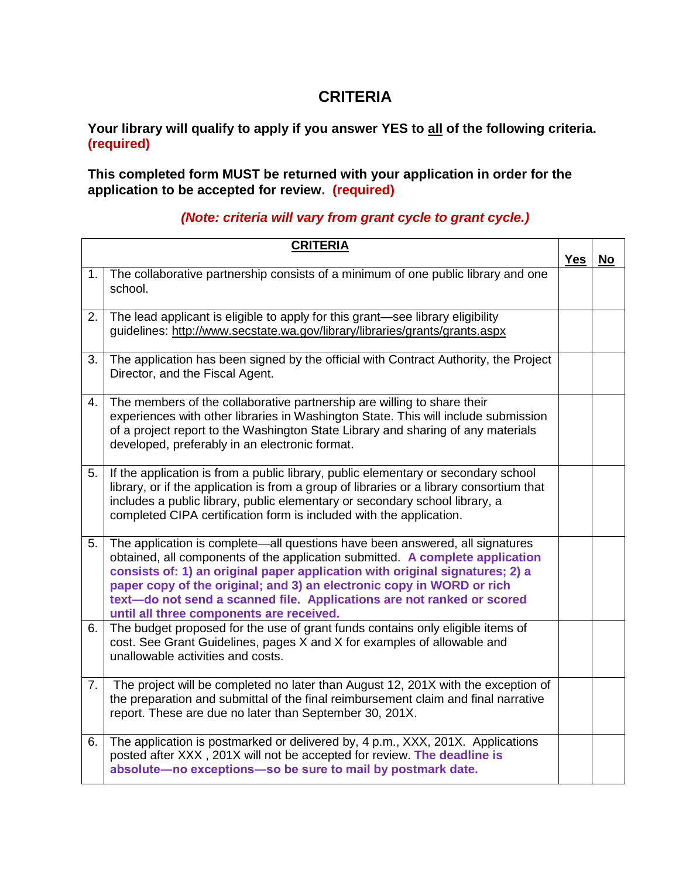# **CRITERIA**

**Your library will qualify to apply if you answer YES to all of the following criteria. (required)**

**This completed form MUST be returned with your application in order for the application to be accepted for review. (required)**

### *(Note: criteria will vary from grant cycle to grant cycle.)*

|    | <b>CRITERIA</b>                                                                                                                                                                                                                                                                                                                                                                                                                              | <b>Yes</b> | <b>No</b> |
|----|----------------------------------------------------------------------------------------------------------------------------------------------------------------------------------------------------------------------------------------------------------------------------------------------------------------------------------------------------------------------------------------------------------------------------------------------|------------|-----------|
| 1. | The collaborative partnership consists of a minimum of one public library and one<br>school.                                                                                                                                                                                                                                                                                                                                                 |            |           |
| 2. | The lead applicant is eligible to apply for this grant-see library eligibility<br>guidelines: http://www.secstate.wa.gov/library/libraries/grants/grants.aspx                                                                                                                                                                                                                                                                                |            |           |
| 3. | The application has been signed by the official with Contract Authority, the Project<br>Director, and the Fiscal Agent.                                                                                                                                                                                                                                                                                                                      |            |           |
| 4. | The members of the collaborative partnership are willing to share their<br>experiences with other libraries in Washington State. This will include submission<br>of a project report to the Washington State Library and sharing of any materials<br>developed, preferably in an electronic format.                                                                                                                                          |            |           |
| 5. | If the application is from a public library, public elementary or secondary school<br>library, or if the application is from a group of libraries or a library consortium that<br>includes a public library, public elementary or secondary school library, a<br>completed CIPA certification form is included with the application.                                                                                                         |            |           |
| 5. | The application is complete—all questions have been answered, all signatures<br>obtained, all components of the application submitted. A complete application<br>consists of: 1) an original paper application with original signatures; 2) a<br>paper copy of the original; and 3) an electronic copy in WORD or rich<br>text-do not send a scanned file. Applications are not ranked or scored<br>until all three components are received. |            |           |
| 6. | The budget proposed for the use of grant funds contains only eligible items of<br>cost. See Grant Guidelines, pages X and X for examples of allowable and<br>unallowable activities and costs.                                                                                                                                                                                                                                               |            |           |
| 7. | The project will be completed no later than August 12, 201X with the exception of<br>the preparation and submittal of the final reimbursement claim and final narrative<br>report. These are due no later than September 30, 201X.                                                                                                                                                                                                           |            |           |
| 6. | The application is postmarked or delivered by, 4 p.m., XXX, 201X. Applications<br>posted after XXX, 201X will not be accepted for review. The deadline is<br>absolute-no exceptions-so be sure to mail by postmark date.                                                                                                                                                                                                                     |            |           |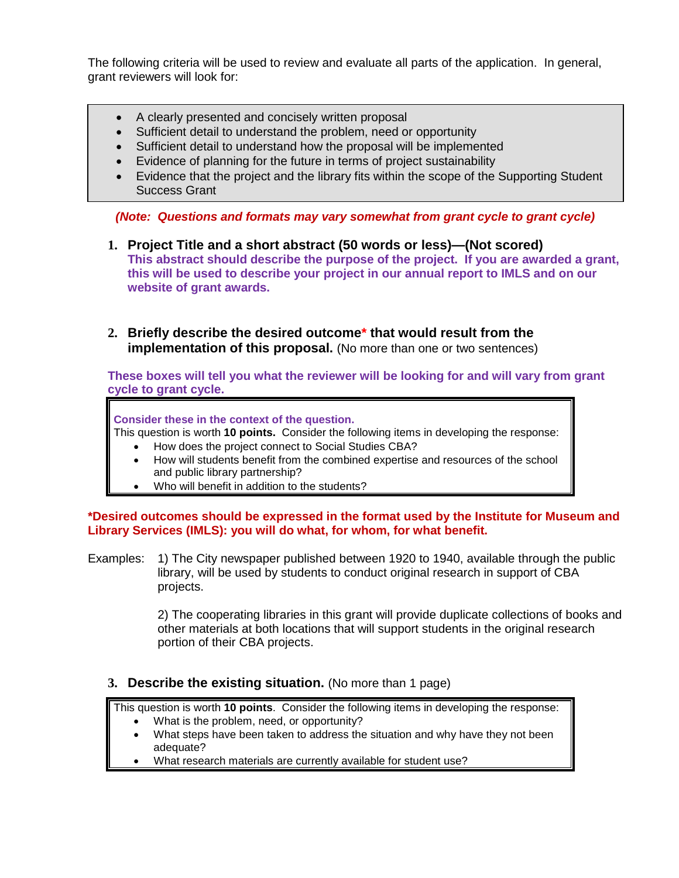The following criteria will be used to review and evaluate all parts of the application. In general, grant reviewers will look for:

- A clearly presented and concisely written proposal
- Sufficient detail to understand the problem, need or opportunity
- Sufficient detail to understand how the proposal will be implemented
- Evidence of planning for the future in terms of project sustainability
- Evidence that the project and the library fits within the scope of the Supporting Student Success Grant

*(Note: Questions and formats may vary somewhat from grant cycle to grant cycle)*

- **1. Project Title and a short abstract (50 words or less)—(Not scored) This abstract should describe the purpose of the project. If you are awarded a grant, this will be used to describe your project in our annual report to IMLS and on our website of grant awards.**
- **2. Briefly describe the desired outcome\* that would result from the implementation of this proposal.** (No more than one or two sentences)

**These boxes will tell you what the reviewer will be looking for and will vary from grant cycle to grant cycle.**

**Consider these in the context of the question.**

- This question is worth **10 points.** Consider the following items in developing the response:
	- How does the project connect to Social Studies CBA?
	- How will students benefit from the combined expertise and resources of the school and public library partnership?
	- Who will benefit in addition to the students?

**\*Desired outcomes should be expressed in the format used by the Institute for Museum and Library Services (IMLS): you will do what, for whom, for what benefit.** 

Examples: 1) The City newspaper published between 1920 to 1940, available through the public library, will be used by students to conduct original research in support of CBA projects.

> 2) The cooperating libraries in this grant will provide duplicate collections of books and other materials at both locations that will support students in the original research portion of their CBA projects.

### **3. Describe the existing situation.** (No more than 1 page)

This question is worth **10 points**. Consider the following items in developing the response:

- What is the problem, need, or opportunity?
- What steps have been taken to address the situation and why have they not been adequate?
- What research materials are currently available for student use?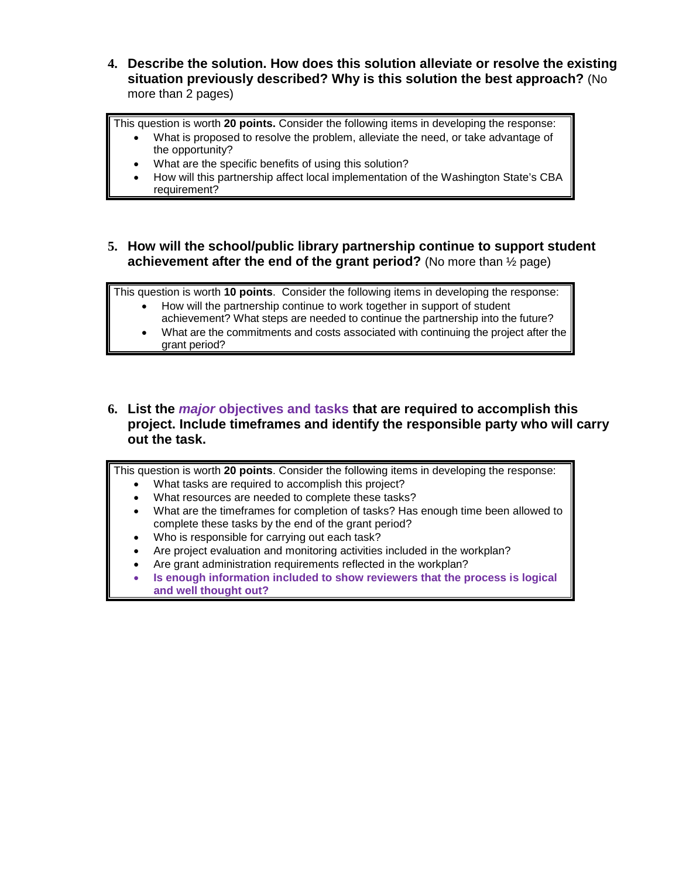**4. Describe the solution. How does this solution alleviate or resolve the existing situation previously described? Why is this solution the best approach?** (No more than 2 pages)

This question is worth **20 points.** Consider the following items in developing the response:

- What is proposed to resolve the problem, alleviate the need, or take advantage of the opportunity?
	- What are the specific benefits of using this solution?
	- How will this partnership affect local implementation of the Washington State's CBA requirement?
- **5. How will the school/public library partnership continue to support student achievement after the end of the grant period?** (No more than ½ page)

This question is worth **10 points**. Consider the following items in developing the response:

- How will the partnership continue to work together in support of student achievement? What steps are needed to continue the partnership into the future?
	- What are the commitments and costs associated with continuing the project after the grant period?
- **6. List the** *major* **objectives and tasks that are required to accomplish this project. Include timeframes and identify the responsible party who will carry out the task.**

This question is worth **20 points**. Consider the following items in developing the response:

- What tasks are required to accomplish this project?
- What resources are needed to complete these tasks?
- What are the timeframes for completion of tasks? Has enough time been allowed to complete these tasks by the end of the grant period?
- Who is responsible for carrying out each task?
- Are project evaluation and monitoring activities included in the workplan?
- Are grant administration requirements reflected in the workplan?
- **Is enough information included to show reviewers that the process is logical and well thought out?**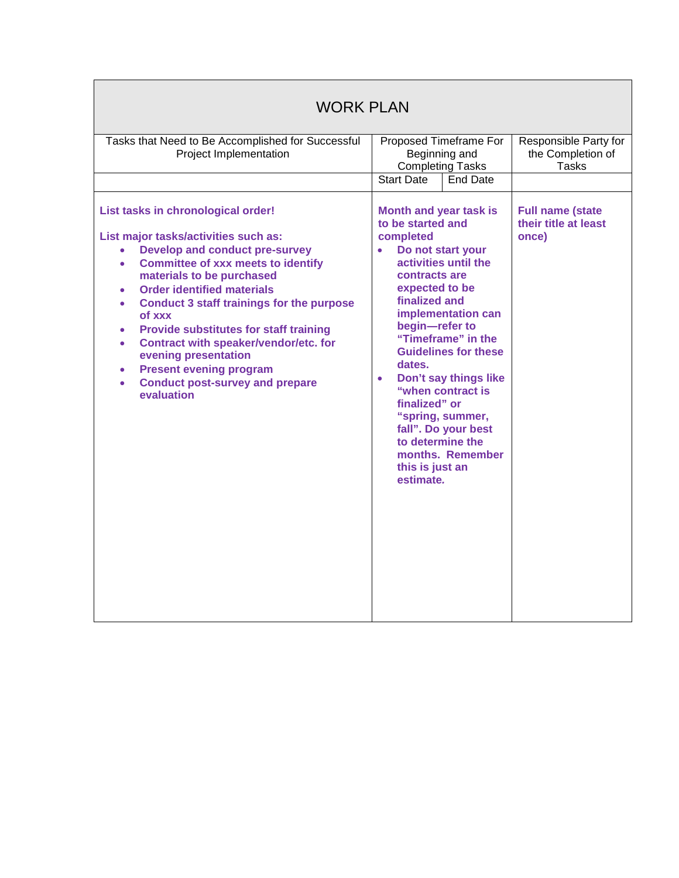| <b>WORK PLAN</b>                                                                                                                                                                                                                                                                                                                                                                                                                                                                                                                                                 |                                                                                                                                                                                                                                                        |                                                                                                                                                                                                              |                                                            |  |
|------------------------------------------------------------------------------------------------------------------------------------------------------------------------------------------------------------------------------------------------------------------------------------------------------------------------------------------------------------------------------------------------------------------------------------------------------------------------------------------------------------------------------------------------------------------|--------------------------------------------------------------------------------------------------------------------------------------------------------------------------------------------------------------------------------------------------------|--------------------------------------------------------------------------------------------------------------------------------------------------------------------------------------------------------------|------------------------------------------------------------|--|
| Tasks that Need to Be Accomplished for Successful<br>Project Implementation                                                                                                                                                                                                                                                                                                                                                                                                                                                                                      | Proposed Timeframe For<br>Beginning and<br><b>Completing Tasks</b><br><b>Start Date</b><br>End Date                                                                                                                                                    |                                                                                                                                                                                                              | Responsible Party for<br>the Completion of<br><b>Tasks</b> |  |
| List tasks in chronological order!<br>List major tasks/activities such as:<br><b>Develop and conduct pre-survey</b><br><b>Committee of xxx meets to identify</b><br>$\bullet$<br>materials to be purchased<br><b>Order identified materials</b><br><b>Conduct 3 staff trainings for the purpose</b><br>$\bullet$<br>of xxx<br><b>Provide substitutes for staff training</b><br>Contract with speaker/vendor/etc. for<br>$\bullet$<br>evening presentation<br><b>Present evening program</b><br><b>Conduct post-survey and prepare</b><br>$\bullet$<br>evaluation | <b>Month and year task is</b><br>to be started and<br>completed<br>Do not start your<br>contracts are<br>expected to be<br>finalized and<br>begin-refer to<br>dates.<br>$\bullet$<br>finalized" or<br>to determine the<br>this is just an<br>estimate. | activities until the<br>implementation can<br>"Timeframe" in the<br><b>Guidelines for these</b><br>Don't say things like<br>"when contract is<br>"spring, summer,<br>fall". Do your best<br>months. Remember | <b>Full name (state</b><br>their title at least<br>once)   |  |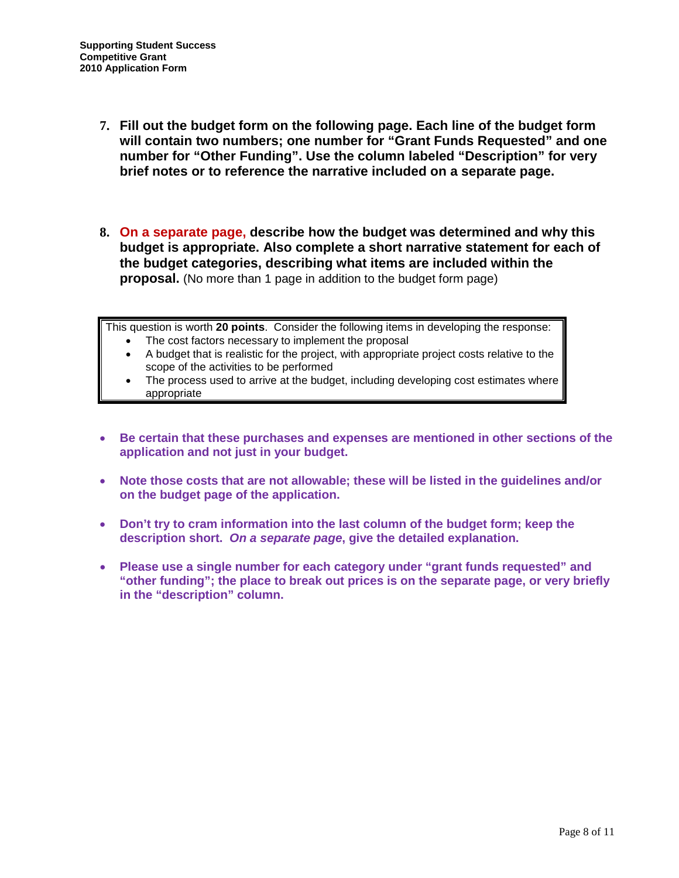- **7. Fill out the budget form on the following page. Each line of the budget form will contain two numbers; one number for "Grant Funds Requested" and one number for "Other Funding". Use the column labeled "Description" for very brief notes or to reference the narrative included on a separate page.**
- **8. On a separate page, describe how the budget was determined and why this budget is appropriate. Also complete a short narrative statement for each of the budget categories, describing what items are included within the proposal.** (No more than 1 page in addition to the budget form page)

This question is worth **20 points**. Consider the following items in developing the response:

- The cost factors necessary to implement the proposal
- A budget that is realistic for the project, with appropriate project costs relative to the scope of the activities to be performed
- The process used to arrive at the budget, including developing cost estimates where appropriate
- **Be certain that these purchases and expenses are mentioned in other sections of the application and not just in your budget.**
- **Note those costs that are not allowable; these will be listed in the guidelines and/or on the budget page of the application.**
- **Don't try to cram information into the last column of the budget form; keep the description short.** *On a separate page***, give the detailed explanation.**
- **Please use a single number for each category under "grant funds requested" and "other funding"; the place to break out prices is on the separate page, or very briefly in the "description" column.**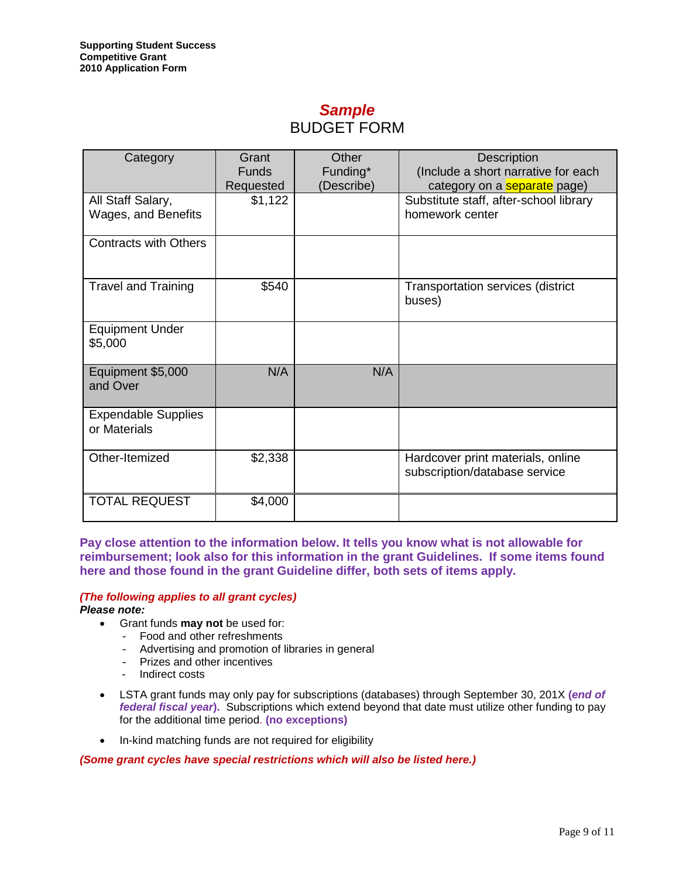## *Sample* BUDGET FORM

| Category                                   | Grant<br><b>Funds</b> | Other<br>Funding* | Description<br>(Include a short narrative for each                                               |
|--------------------------------------------|-----------------------|-------------------|--------------------------------------------------------------------------------------------------|
| All Staff Salary,<br>Wages, and Benefits   | Requested<br>\$1,122  | (Describe)        | category on a <b>separate</b> page)<br>Substitute staff, after-school library<br>homework center |
| <b>Contracts with Others</b>               |                       |                   |                                                                                                  |
| <b>Travel and Training</b>                 | \$540                 |                   | Transportation services (district<br>buses)                                                      |
| <b>Equipment Under</b><br>\$5,000          |                       |                   |                                                                                                  |
| Equipment \$5,000<br>and Over              | N/A                   | N/A               |                                                                                                  |
| <b>Expendable Supplies</b><br>or Materials |                       |                   |                                                                                                  |
| Other-Itemized                             | \$2,338               |                   | Hardcover print materials, online<br>subscription/database service                               |
| <b>TOTAL REQUEST</b>                       | \$4,000               |                   |                                                                                                  |

**Pay close attention to the information below. It tells you know what is not allowable for reimbursement; look also for this information in the grant Guidelines. If some items found here and those found in the grant Guideline differ, both sets of items apply.**

### *(The following applies to all grant cycles)*

*Please note:* 

- Grant funds **may not** be used for:
	- Food and other refreshments
	- Advertising and promotion of libraries in general
	- Prizes and other incentives
	- Indirect costs
- LSTA grant funds may only pay for subscriptions (databases) through September 30, 201X **(***end of federal fiscal year***).** Subscriptions which extend beyond that date must utilize other funding to pay for the additional time period. **(no exceptions)**
- In-kind matching funds are not required for eligibility

*(Some grant cycles have special restrictions which will also be listed here.)*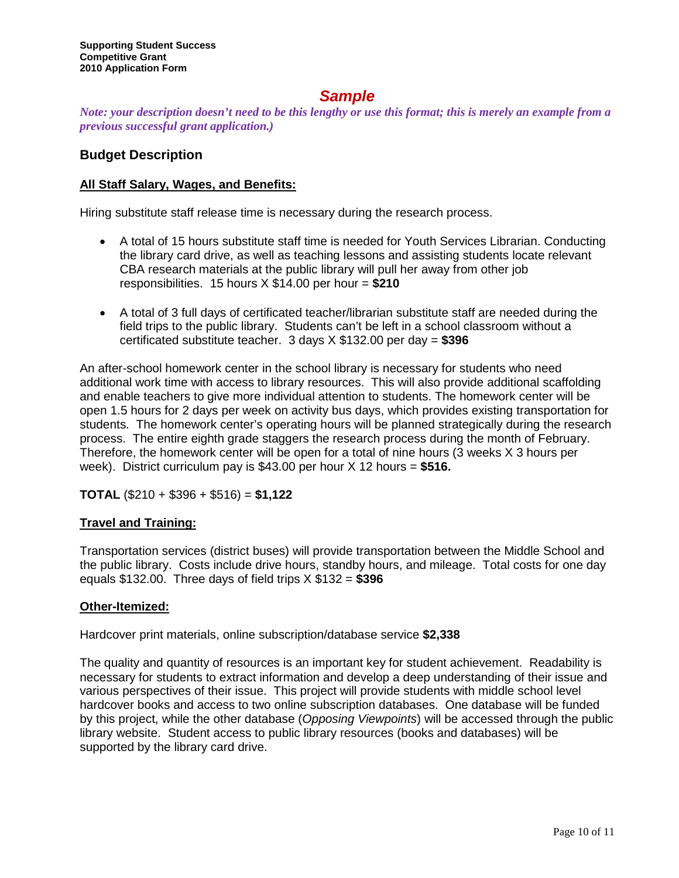## *Sample*

*Note: your description doesn't need to be this lengthy or use this format; this is merely an example from a previous successful grant application.)*

### **Budget Description**

### **All Staff Salary, Wages, and Benefits:**

Hiring substitute staff release time is necessary during the research process.

- A total of 15 hours substitute staff time is needed for Youth Services Librarian. Conducting the library card drive, as well as teaching lessons and assisting students locate relevant CBA research materials at the public library will pull her away from other job responsibilities. 15 hours X \$14.00 per hour = **\$210**
- A total of 3 full days of certificated teacher/librarian substitute staff are needed during the field trips to the public library. Students can't be left in a school classroom without a certificated substitute teacher. 3 days X \$132.00 per day = **\$396**

An after-school homework center in the school library is necessary for students who need additional work time with access to library resources. This will also provide additional scaffolding and enable teachers to give more individual attention to students. The homework center will be open 1.5 hours for 2 days per week on activity bus days, which provides existing transportation for students. The homework center's operating hours will be planned strategically during the research process. The entire eighth grade staggers the research process during the month of February. Therefore, the homework center will be open for a total of nine hours (3 weeks X 3 hours per week). District curriculum pay is \$43.00 per hour X 12 hours = **\$516.**

**TOTAL** (\$210 + \$396 + \$516) = **\$1,122**

### **Travel and Training:**

Transportation services (district buses) will provide transportation between the Middle School and the public library. Costs include drive hours, standby hours, and mileage. Total costs for one day equals \$132.00. Three days of field trips X \$132 = **\$396**

### **Other-Itemized:**

Hardcover print materials, online subscription/database service **\$2,338**

The quality and quantity of resources is an important key for student achievement. Readability is necessary for students to extract information and develop a deep understanding of their issue and various perspectives of their issue. This project will provide students with middle school level hardcover books and access to two online subscription databases. One database will be funded by this project, while the other database (*Opposing Viewpoints*) will be accessed through the public library website. Student access to public library resources (books and databases) will be supported by the library card drive.